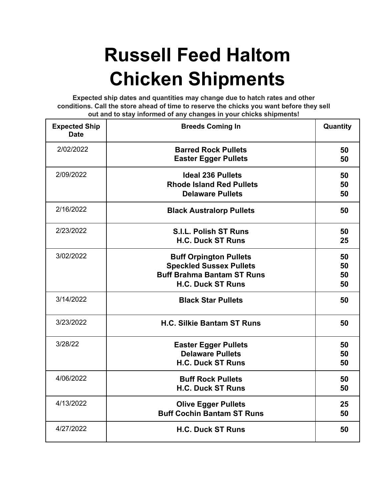## **Russell Feed Haltom Chicken Shipments**

**Expected ship dates and quantities may change due to hatch rates and other conditions. Call the store ahead of time to reserve the chicks you want before they sell out and to stay informed of any changes in your chicks shipments!**

| <b>Expected Ship</b><br><b>Date</b> | <b>Breeds Coming In</b>                                                                                                          | Quantity             |
|-------------------------------------|----------------------------------------------------------------------------------------------------------------------------------|----------------------|
| 2/02/2022                           | <b>Barred Rock Pullets</b><br><b>Easter Egger Pullets</b>                                                                        | 50<br>50             |
| 2/09/2022                           | <b>Ideal 236 Pullets</b><br><b>Rhode Island Red Pullets</b><br><b>Delaware Pullets</b>                                           | 50<br>50<br>50       |
| 2/16/2022                           | <b>Black Australorp Pullets</b>                                                                                                  | 50                   |
| 2/23/2022                           | <b>S.I.L. Polish ST Runs</b><br><b>H.C. Duck ST Runs</b>                                                                         | 50<br>25             |
| 3/02/2022                           | <b>Buff Orpington Pullets</b><br><b>Speckled Sussex Pullets</b><br><b>Buff Brahma Bantam ST Runs</b><br><b>H.C. Duck ST Runs</b> | 50<br>50<br>50<br>50 |
| 3/14/2022                           | <b>Black Star Pullets</b>                                                                                                        | 50                   |
| 3/23/2022                           | <b>H.C. Silkie Bantam ST Runs</b>                                                                                                | 50                   |
| 3/28/22                             | <b>Easter Egger Pullets</b><br><b>Delaware Pullets</b><br><b>H.C. Duck ST Runs</b>                                               | 50<br>50<br>50       |
| 4/06/2022                           | <b>Buff Rock Pullets</b><br><b>H.C. Duck ST Runs</b>                                                                             | 50<br>50             |
| 4/13/2022                           | <b>Olive Egger Pullets</b><br><b>Buff Cochin Bantam ST Runs</b>                                                                  | 25<br>50             |
| 4/27/2022                           | <b>H.C. Duck ST Runs</b>                                                                                                         | 50                   |